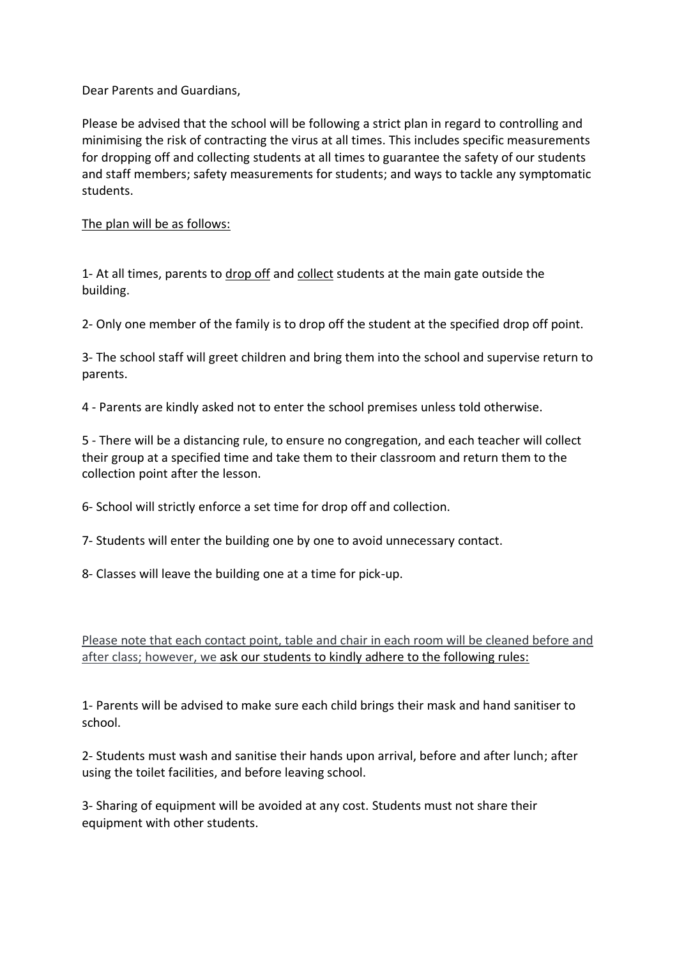Dear Parents and Guardians,

Please be advised that the school will be following a strict plan in regard to controlling and minimising the risk of contracting the virus at all times. This includes specific measurements for dropping off and collecting students at all times to guarantee the safety of our students and staff members; safety measurements for students; and ways to tackle any symptomatic students.

## The plan will be as follows:

1- At all times, parents to drop off and collect students at the main gate outside the building.

2- Only one member of the family is to drop off the student at the specified drop off point.

3- The school staff will greet children and bring them into the school and supervise return to parents.

4 - Parents are kindly asked not to enter the school premises unless told otherwise.

5 - There will be a distancing rule, to ensure no congregation, and each teacher will collect their group at a specified time and take them to their classroom and return them to the collection point after the lesson.

6- School will strictly enforce a set time for drop off and collection.

7- Students will enter the building one by one to avoid unnecessary contact.

8- Classes will leave the building one at a time for pick-up.

Please note that each contact point, table and chair in each room will be cleaned before and after class; however, we ask our students to kindly adhere to the following rules:

1- Parents will be advised to make sure each child brings their mask and hand sanitiser to school.

2- Students must wash and sanitise their hands upon arrival, before and after lunch; after using the toilet facilities, and before leaving school.

3- Sharing of equipment will be avoided at any cost. Students must not share their equipment with other students.